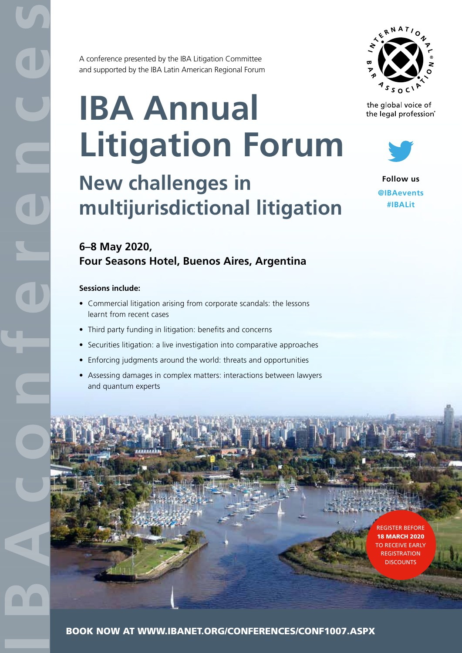A conference presented by the IBA Litigation Committee and supported by the IBA Latin American Regional Forum

# **IBA Annual Litigation Forum**



the global voice of the legal profession®



**New challenges in multijurisdictional litigation**



**Follow us @IBAevents #IBALit**

### **6–8 May 2020, Four Seasons Hotel, Buenos Aires, Argentina**

#### **Sessions include:**

- Commercial litigation arising from corporate scandals: the lessons learnt from recent cases
- Third party funding in litigation: benefits and concerns
- Securities litigation: a live investigation into comparative approaches
- Enforcing judgments around the world: threats and opportunities
- Assessing damages in complex matters: interactions between lawyers and quantum experts

REGISTER BEFORE 18 MARCH 2020 TO RECEIVE EARLY **REGISTRATION DISCOUNTS** 

BOOK NOW AT WWW.IBANET.ORG/CONFERENCES/CONF1007.ASPX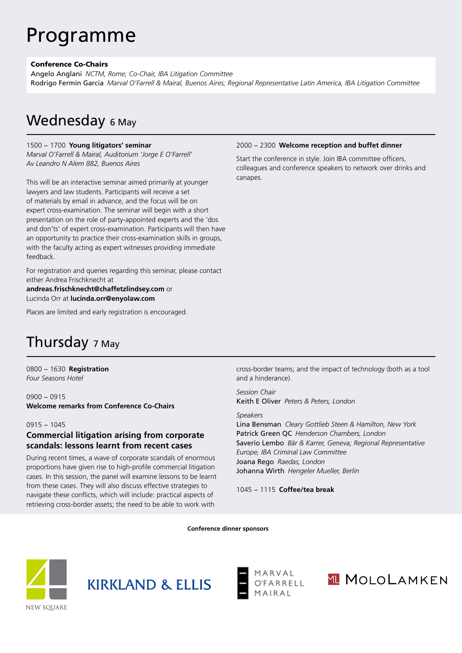## Programme

#### Conference Co-Chairs

Angelo Anglani *NCTM, Rome; Co-Chair, IBA Litigation Committee* Rodrigo Fermin Garcia *Marval O'Farrell & Mairal, Buenos Aires; Regional Representative Latin America, IBA Litigation Committee*

## Wednesday 6 May

#### 1500 − 1700 **Young litigators' seminar**

*Marval O'Farrell & Mairal, Auditorium 'Jorge E O'Farrell' Av Leandro N Alem 882, Buenos Aires*

This will be an interactive seminar aimed primarily at younger lawyers and law students. Participants will receive a set of materials by email in advance, and the focus will be on expert cross-examination. The seminar will begin with a short presentation on the role of party-appointed experts and the 'dos and don'ts' of expert cross-examination. Participants will then have an opportunity to practice their cross-examination skills in groups, with the faculty acting as expert witnesses providing immediate feedback.

For registration and queries regarding this seminar, please contact either Andrea Frischknecht at

**andreas.frischknecht@chaffetzlindsey.com** or Lucinda Orr at **lucinda.orr@enyolaw.com**

Places are limited and early registration is encouraged.

#### 2000 − 2300 **Welcome reception and buffet dinner**

Start the conference in style. Join IBA committee officers, colleagues and conference speakers to network over drinks and canapes.

## Thursday 7 May

0800 − 1630 **Registration** *Four Seasons Hotel*

0900 − 0915 **Welcome remarks from Conference Co-Chairs**

#### 0915 − 1045

#### **Commercial litigation arising from corporate scandals: lessons learnt from recent cases**

During recent times, a wave of corporate scandals of enormous proportions have given rise to high-profile commercial litigation cases. In this session, the panel will examine lessons to be learnt from these cases. They will also discuss effective strategies to navigate these conflicts, which will include: practical aspects of retrieving cross-border assets; the need to be able to work with

cross-border teams; and the impact of technology (both as a tool and a hinderance).

*Session Chair* Keith E Oliver *Peters & Peters, London*

#### *Speakers*

Lina Bensman *Cleary Gottlieb Steen & Hamilton, New York*  Patrick Green QC *Henderson Chambers, London* Saverio Lembo *Bär & Karrer, Geneva; Regional Representative Europe, IBA Criminal Law Committee* Joana Rego *Raedas, London* Johanna Wirth *Hengeler Mueller, Berlin*

1045 − 1115 **Coffee/tea break** 

**Conference dinner sponsors**







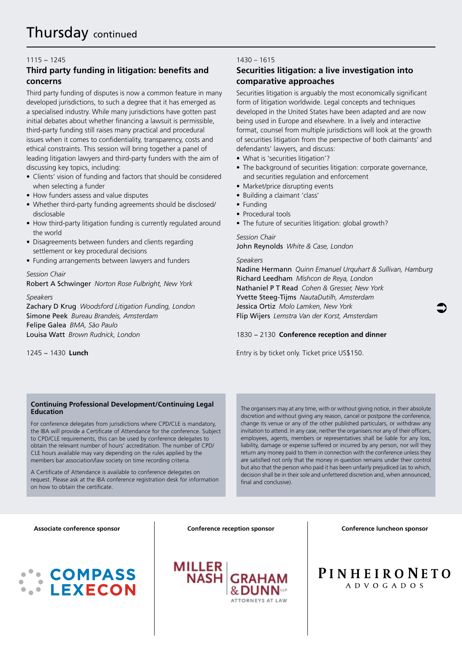#### 1115 − 1245

#### **Third party funding in litigation: benefits and concerns**

Third party funding of disputes is now a common feature in many developed jurisdictions, to such a degree that it has emerged as a specialised industry. While many jurisdictions have gotten past initial debates about whether financing a lawsuit is permissible, third-party funding still raises many practical and procedural issues when it comes to confidentiality, transparency, costs and ethical constraints. This session will bring together a panel of leading litigation lawyers and third-party funders with the aim of discussing key topics, including:

- Clients' vision of funding and factors that should be considered when selecting a funder
- How funders assess and value disputes
- Whether third-party funding agreements should be disclosed/ disclosable
- How third-party litigation funding is currently regulated around the world
- Disagreements between funders and clients regarding settlement or key procedural decisions
- Funding arrangements between lawyers and funders

#### *Session Chair*

Robert A Schwinger *Norton Rose Fulbright, New York*

#### *Speakers*

Zachary D Krug *Woodsford Litigation Funding, London* Simone Peek *Bureau Brandeis, Amsterdam* Felipe Galea *BMA, São Paulo* Louisa Watt *Brown Rudnick, London*

1245 − 1430 **Lunch** 

#### **Continuing Professional Development/Continuing Legal Education**

For conference delegates from jurisdictions where CPD/CLE is mandatory, the IBA will provide a Certificate of Attendance for the conference. Subject to CPD/CLE requirements, this can be used by conference delegates to obtain the relevant number of hours' accreditation. The number of CPD/ CLE hours available may vary depending on the rules applied by the members bar association/law society on time recording criteria.

A Certificate of Attendance is available to conference delegates on request. Please ask at the IBA conference registration desk for information on how to obtain the certificate.

#### 1430 – 1615

#### **Securities litigation: a live investigation into comparative approaches**

Securities litigation is arguably the most economically significant form of litigation worldwide. Legal concepts and techniques developed in the United States have been adapted and are now being used in Europe and elsewhere. In a lively and interactive format, counsel from multiple jurisdictions will look at the growth of securities litigation from the perspective of both claimants' and defendants' lawyers, and discuss:

- What is 'securities litigation'?
- The background of securities litigation: corporate governance, and securities regulation and enforcement
- Market/price disrupting events
- Building a claimant 'class'
- Funding
- Procedural tools
- The future of securities litigation: global growth?

#### *Session Chair*

John Reynolds *White & Case, London*

#### *Speakers*

Nadine Hermann *Quinn Emanuel Urquhart & Sullivan, Hamburg*  Richard Leedham *Mishcon de Reya, London* Nathaniel P T Read *Cohen & Gresser, New York* Yvette Steeg-Tijms *NautaDutilh, Amsterdam* Jessica Ortiz *Molo Lamken, New York* Flip Wijers *Lemstra Van der Korst, Amsterdam*

#### 1830 − 2130 **Conference reception and dinner**

Entry is by ticket only. Ticket price US\$150.

The organisers may at any time, with or without giving notice, in their absolute discretion and without giving any reason, cancel or postpone the conference, change its venue or any of the other published particulars, or withdraw any invitation to attend. In any case, neither the organisers nor any of their officers, employees, agents, members or representatives shall be liable for any loss, liability, damage or expense suffered or incurred by any person, nor will they return any money paid to them in connection with the conference unless they are satisfied not only that the money in question remains under their control but also that the person who paid it has been unfairly prejudiced (as to which, decision shall be in their sole and unfettered discretion and, when announced, final and conclusive).

#### **Associate conference sponsor**

## **COMPASS LEXECON**

**Conference reception sponsor Conference luncheon sponsor** 

 $\bullet$ 



**PINHEIRONETO** ADVOGADOS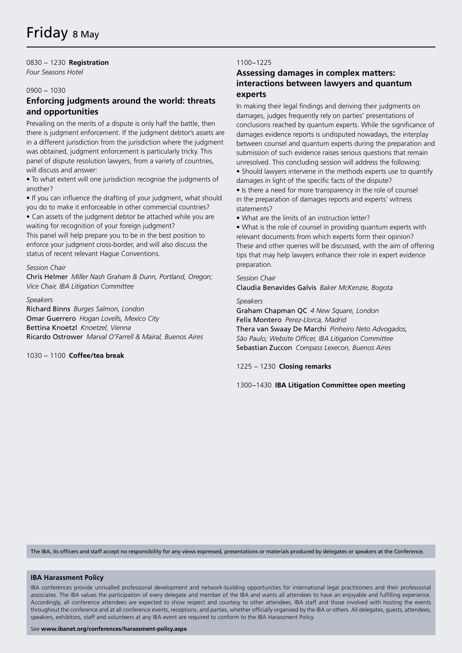#### 0830 − 1230 **Registration**

*Four Seasons Hotel*

#### 0900 − 1030

#### **Enforcing judgments around the world: threats and opportunities**

Prevailing on the merits of a dispute is only half the battle, then there is judgment enforcement. If the judgment debtor's assets are in a different jurisdiction from the jurisdiction where the judgment was obtained, judgment enforcement is particularly tricky. This panel of dispute resolution lawyers, from a variety of countries, will discuss and answer:

• To what extent will one jurisdiction recognise the judgments of another?

• If you can influence the drafting of your judgment, what should you do to make it enforceable in other commercial countries? • Can assets of the judgment debtor be attached while you are waiting for recognition of your foreign judgment?

This panel will help prepare you to be in the best position to enforce your judgment cross-border, and will also discuss the status of recent relevant Hague Conventions.

#### *Session Chair*

Chris Helmer *Miller Nash Graham & Dunn, Portland, Oregon; Vice Chair, IBA Litigation Committee*

*Speakers* Richard Binns *Burges Salmon, London*  Omar Guerrero *Hogan Lovells, Mexico City* Bettina Knoetzl *Knoetzel, Vienna* Ricardo Ostrower *Marval O'Farrell & Mairal, Buenos Aires*

1030 − 1100 **Coffee/tea break** 

#### 1100−1225

#### **Assessing damages in complex matters: interactions between lawyers and quantum experts**

In making their legal findings and deriving their judgments on damages, judges frequently rely on parties' presentations of conclusions reached by quantum experts. While the significance of damages evidence reports is undisputed nowadays, the interplay between counsel and quantum experts during the preparation and submission of such evidence raises serious questions that remain unresolved. This concluding session will address the following:

• Should lawyers intervene in the methods experts use to quantify damages in light of the specific facts of the dispute?

• Is there a need for more transparency in the role of counsel in the preparation of damages reports and experts' witness statements?

• What are the limits of an instruction letter?

• What is the role of counsel in providing quantum experts with relevant documents from which experts form their opinion? These and other queries will be discussed, with the aim of offering tips that may help lawyers enhance their role in expert evidence preparation.

#### *Session Chair*

Claudia Benavides Galvis *Baker McKenzie, Bogota*

#### *Speakers*

Graham Chapman QC *4 New Square, London* Felix Montero *Perez-Llorca, Madrid* Thera van Swaay De Marchi *Pinheiro Neto Advogados, São Paulo; Website Officer, IBA Litigation Committee* Sebastian Zuccon *Compass Lexecon, Buenos Aires*

#### 1225 − 1230 **Closing remarks**

1300−1430 **IBA Litigation Committee open meeting**

The IBA, its officers and staff accept no responsibility for any views expressed, presentations or materials produced by delegates or speakers at the Conference.

#### **IBA Harassment Policy**

IBA conferences provide unrivalled professional development and network-building opportunities for international legal practitioners and their professional associates. The IBA values the participation of every delegate and member of the IBA and wants all attendees to have an enjoyable and fulfilling experience. Accordingly, all conference attendees are expected to show respect and courtesy to other attendees, IBA staff and those involved with hosting the events throughout the conference and at all conference events, receptions, and parties, whether officially organised by the IBA or others. All delegates, guests, attendees, speakers, exhibitors, staff and volunteers at any IBA event are required to conform to the IBA Harassment Policy.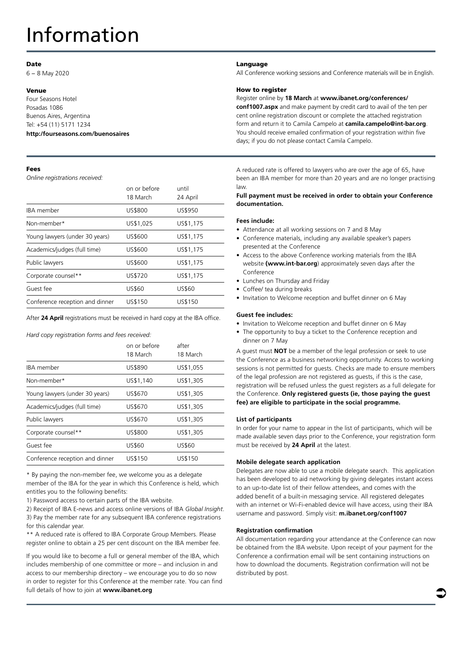## Information

#### Date

6 − 8 May 2020

#### Venue

Four Seasons Hotel Posadas 1086 Buenos Aires, Argentina Tel: +54 (11) 5171 1234 **http:/fourseasons.com/buenosaires**

#### Fees

*Online registrations received:*

|                                 | on or before<br>18 March | until<br>24 April |
|---------------------------------|--------------------------|-------------------|
| <b>IBA</b> member               | US\$800                  | US\$950           |
| Non-member*                     | US\$1,025                | US\$1,175         |
| Young lawyers (under 30 years)  | US\$600                  | US\$1,175         |
| Academics/judges (full time)    | US\$600                  | US\$1,175         |
| Public lawyers                  | US\$600                  | US\$1,175         |
| Corporate counsel**             | US\$720                  | US\$1.175         |
| Guest fee                       | US\$60                   | US\$60            |
| Conference reception and dinner | US\$150                  | US\$150           |

After **24 April** registrations must be received in hard copy at the IBA office.

*Hard copy registration forms and fees received:*

|                                 | on or before<br>18 March | after<br>18 March |
|---------------------------------|--------------------------|-------------------|
| <b>IBA</b> member               | US\$890                  | US\$1.055         |
| Non-member*                     | US\$1,140                | US\$1,305         |
| Young lawyers (under 30 years)  | US\$670                  | US\$1,305         |
| Academics/judges (full time)    | US\$670                  | US\$1,305         |
| Public lawyers                  | US\$670                  | US\$1,305         |
| Corporate counsel**             | US\$800                  | US\$1,305         |
| Guest fee                       | US\$60                   | US\$60            |
| Conference reception and dinner | US\$150                  | US\$150           |

\* By paying the non-member fee, we welcome you as a delegate member of the IBA for the year in which this Conference is held, which entitles you to the following benefits:

1) Password access to certain parts of the IBA website.

2) Receipt of IBA E-news and access online versions of IBA *Global Insight*. 3) Pay the member rate for any subsequent IBA conference registrations for this calendar year.

\*\* A reduced rate is offered to IBA Corporate Group Members. Please register online to obtain a 25 per cent discount on the IBA member fee.

If you would like to become a full or general member of the IBA, which includes membership of one committee or more – and inclusion in and access to our membership directory – we encourage you to do so now in order to register for this Conference at the member rate. You can find full details of how to join at **www.ibanet.org**

#### Language

All Conference working sessions and Conference materials will be in English.

#### How to register

#### Register online by **18 March** at **www.ibanet.org/conferences/**

**conf1007.aspx** and make payment by credit card to avail of the ten per cent online registration discount or complete the attached registration form and return it to Camila Campelo at **camila.campelo@int-bar.org**. You should receive emailed confirmation of your registration within five days; if you do not please contact Camila Campelo.

A reduced rate is offered to lawyers who are over the age of 65, have been an IBA member for more than 20 years and are no longer practising law.

#### **Full payment must be received in order to obtain your Conference documentation.**

#### **Fees include:**

- Attendance at all working sessions on 7 and 8 May
- Conference materials, including any available speaker's papers presented at the Conference
- Access to the above Conference working materials from the IBA website **(www.int-bar.org**) approximately seven days after the Conference
- Lunches on Thursday and Friday
- Coffee/ tea during breaks
- Invitation to Welcome reception and buffet dinner on 6 May

#### **Guest fee includes:**

- Invitation to Welcome reception and buffet dinner on 6 May
- The opportunity to buy a ticket to the Conference reception and dinner on 7 May

A guest must **NOT** be a member of the legal profession or seek to use the Conference as a business networking opportunity. Access to working sessions is not permitted for guests. Checks are made to ensure members of the legal profession are not registered as guests, if this is the case, registration will be refused unless the guest registers as a full delegate for the Conference. **Only registered guests (ie, those paying the guest fee) are eligible to participate in the social programme.**

#### **List of participants**

In order for your name to appear in the list of participants, which will be made available seven days prior to the Conference, your registration form must be received by **24 April** at the latest.

#### **Mobile delegate search application**

Delegates are now able to use a mobile delegate search. This application has been developed to aid networking by giving delegates instant access to an up-to-date list of their fellow attendees, and comes with the added benefit of a built-in messaging service. All registered delegates with an internet or Wi-Fi-enabled device will have access, using their IBA username and password. Simply visit: **m.ibanet.org/conf1007**

#### **Registration confirmation**

All documentation regarding your attendance at the Conference can now be obtained from the IBA website. Upon receipt of your payment for the Conference a confirmation email will be sent containing instructions on how to download the documents. Registration confirmation will not be distributed by post.

 $\bullet$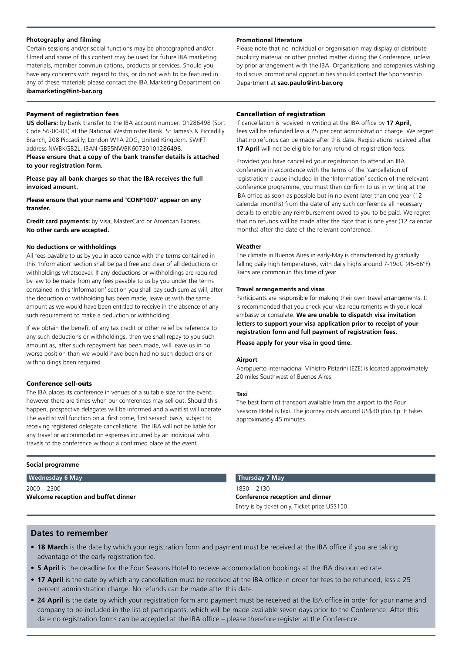#### **Photography and filming**

Certain sessions and/or social functions may be photographed and/or filmed and some of this content may be used for future IBA marketing materials, member communications, products or services. Should you have any concerns with regard to this, or do not wish to be featured in any of these materials please contact the IBA Marketing Department on **ibamarketing@int-bar.org** 

#### Payment of registration fees

**US dollars:** by bank transfer to the IBA account number: 01286498 (Sort Code 56-00-03) at the National Westminster Bank, St James's & Piccadilly Branch, 208 Piccadilly, London W1A 2DG, United Kingdom. SWIFT address NWBKGB2L, IBAN GB55NWBK60730101286498.

**Please ensure that a copy of the bank transfer details is attached to your registration form.**

**Please pay all bank charges so that the IBA receives the full invoiced amount.**

**Please ensure that your name and 'CONF1007' appear on any transfer.**

**Credit card payments:** by Visa, MasterCard or American Express. **No other cards are accepted.**

#### **No deductions or withholdings**

All fees payable to us by you in accordance with the terms contained in this 'Information' section shall be paid free and clear of all deductions or withholdings whatsoever. If any deductions or withholdings are required by law to be made from any fees payable to us by you under the terms contained in this 'Information' section you shall pay such sum as will, after the deduction or withholding has been made, leave us with the same amount as we would have been entitled to receive in the absence of any such requirement to make a deduction or withholding.

If we obtain the benefit of any tax credit or other relief by reference to any such deductions or withholdings, then we shall repay to you such amount as, after such repayment has been made, will leave us in no worse position than we would have been had no such deductions or withholdings been required.

#### Conference sell-outs

The IBA places its conference in venues of a suitable size for the event; however there are times when our conferences may sell out. Should this happen, prospective delegates will be informed and a waitlist will operate. The waitlist will function on a 'first come, first served' basis, subject to receiving registered delegate cancellations. The IBA will not be liable for any travel or accommodation expenses incurred by an individual who travels to the conference without a confirmed place at the event.

#### **Social programme**

#### **Wednesday 6 May**

2000 − 2300 **Welcome reception and buffet dinner**

#### **Promotional literature**

Please note that no individual or organisation may display or distribute publicity material or other printed matter during the Conference, unless by prior arrangement with the IBA. Organisations and companies wishing to discuss promotional opportunities should contact the Sponsorship Department at **sao.paulo@int-bar.org**

#### Cancellation of registration

If cancellation is received in writing at the IBA office by **17 April**, fees will be refunded less a 25 per cent administration charge. We regret that no refunds can be made after this date. Registrations received after **17 April** will not be eligible for any refund of registration fees.

Provided you have cancelled your registration to attend an IBA conference in accordance with the terms of the 'cancellation of registration' clause included in the 'Information' section of the relevant conference programme, you must then confirm to us in writing at the IBA office as soon as possible but in no event later than one year (12 calendar months) from the date of any such conference all necessary details to enable any reimbursement owed to you to be paid. We regret that no refunds will be made after the date that is one year (12 calendar months) after the date of the relevant conference.

#### **Weather**

The climate in Buenos Aires in early-May is characterised by gradually falling daily high temperatures, with daily highs around 7-19oC (45-66°F). Rains are common in this time of year.

#### **Travel arrangements and visas**

Participants are responsible for making their own travel arrangements. It is recommended that you check your visa requirements with your local embassy or consulate. **We are unable to dispatch visa invitation letters to support your visa application prior to receipt of your registration form and full payment of registration fees.** 

**Please apply for your visa in good time.**

#### **Airport**

Aeropuerto internacional Ministro Pistarini (EZE) is located approximately 20 miles Southwest of Buenos Aires.

#### **Taxi**

The best form of transport available from the airport to the Four Seasons Hotel is taxi. The journey costs around US\$30 plus tip. It takes approximately 45 minutes.

#### **Thursday 7 May**

1830 − 2130 **Conference reception and dinner** Entry is by ticket only. Ticket price US\$150.

#### **Dates to remember**

- **18 March** is the date by which your registration form and payment must be received at the IBA office if you are taking advantage of the early registration fee.
- **5 April** is the deadline for the Four Seasons Hotel to receive accommodation bookings at the IBA discounted rate.
- **17 April** is the date by which any cancellation must be received at the IBA office in order for fees to be refunded, less a 25 percent administration charge. No refunds can be made after this date.
- 24 April is the date by which your registration form and payment must be received at the IBA office in order for your name and company to be included in the list of participants, which will be made available seven days prior to the Conference. After this date no registration forms can be accepted at the IBA office – please therefore register at the Conference.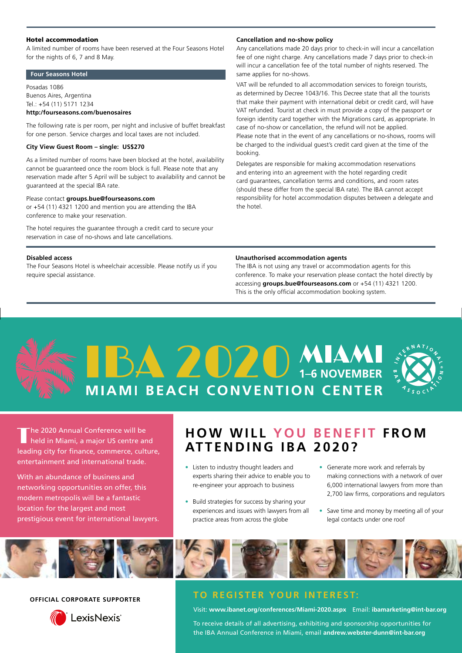#### Hotel accommodation

A limited number of rooms have been reserved at the Four Seasons Hotel for the nights of 6, 7 and 8 May.

#### **Four Seasons Hotel**

Posadas 1086 Buenos Aires, Argentina Tel.: +54 (11) 5171 1234

#### **http:/fourseasons.com/buenosaires**

The following rate is per room, per night and inclusive of buffet breakfast for one person. Service charges and local taxes are not included.

#### **City View Guest Room – single: US\$270**

As a limited number of rooms have been blocked at the hotel, availability cannot be guaranteed once the room block is full. Please note that any reservation made after 5 April will be subject to availability and cannot be guaranteed at the special IBA rate.

#### Please contact **groups.bue@fourseasons.com**

or +54 (11) 4321 1200 and mention you are attending the IBA conference to make your reservation.

The hotel requires the guarantee through a credit card to secure your reservation in case of no-shows and late cancellations.

#### **Disabled access**

The Four Seasons Hotel is wheelchair accessible. Please notify us if you require special assistance.

#### **Cancellation and no-show policy**

Any cancellations made 20 days prior to check-in will incur a cancellation fee of one night charge. Any cancellations made 7 days prior to check-in will incur a cancellation fee of the total number of nights reserved. The same applies for no-shows.

VAT will be refunded to all accommodation services to foreign tourists, as determined by Decree 1043/16. This Decree state that all the tourists that make their payment with international debit or credit card, will have VAT refunded. Tourist at check in must provide a copy of the passport or foreign identity card together with the Migrations card, as appropriate. In case of no-show or cancellation, the refund will not be applied. Please note that in the event of any cancellations or no-shows, rooms will be charged to the individual guest's credit card given at the time of the booking.

Delegates are responsible for making accommodation reservations and entering into an agreement with the hotel regarding credit card guarantees, cancellation terms and conditions, and room rates (should these differ from the special IBA rate). The IBA cannot accept responsibility for hotel accommodation disputes between a delegate and the hotel.

#### **Unauthorised accommodation agents**

The IBA is not using any travel or accommodation agents for this conference. To make your reservation please contact the hotel directly by accessing **groups.bue@fourseasons.com** or +54 (11) 4321 1200. This is the only official accommodation booking system.

# **BAZOZOMIAMI** MIAMI BEACH CONVENTION CENTER



The 2020 Annual Conference will be<br>held in Miami, a major US centre and leading city for finance, commerce, culture, entertainment and international trade.

With an abundance of business and networking opportunities on offer, this modern metropolis will be a fantastic location for the largest and most prestigious event for international lawyers.

### **HOW WILL YOU BENEFIT FROM ATTENDING IBA 2020?**

- Listen to industry thought leaders and experts sharing their advice to enable you to re‑engineer your approach to business
- Build strategies for success by sharing your experiences and issues with lawyers from all practice areas from across the globe
- Generate more work and referrals by making connections with a network of over 6,000 international lawyers from more than 2,700 law firms, corporations and regulators
- Save time and money by meeting all of your legal contacts under one roof



#### **OFFICIAL CORPORATE SUPPORTER**



#### **TO REGISTER YOUR INTEREST:**

Visit: **www.ibanet.org/conferences/Miami-2020.aspx** Email: **ibamarketing@int-bar.org**

To receive details of all advertising, exhibiting and sponsorship opportunities for the IBA Annual Conference in Miami, email **andrew.webster-dunn@int-bar.org**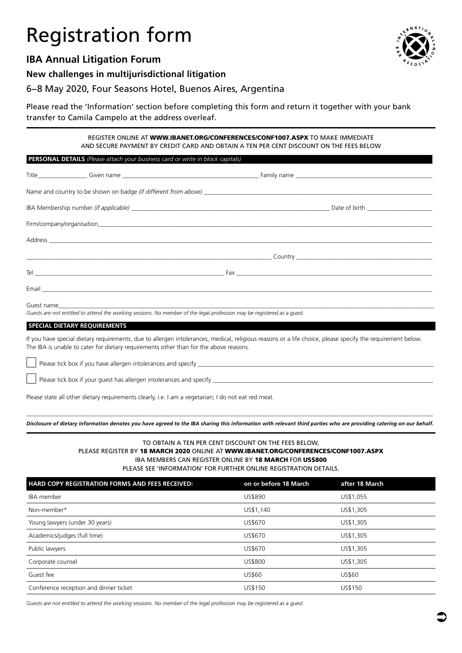## Registration form

### **IBA Annual Litigation Forum**

#### **New challenges in multijurisdictional litigation**

6−8 May 2020, Four Seasons Hotel, Buenos Aires, Argentina

Please read the 'Information' section before completing this form and return it together with your bank transfer to Camila Campelo at the address overleaf.

> REGISTER ONLINE AT WWW.IBANET.ORG/CONFERENCES/CONF1007.ASPX TO MAKE IMMEDIATE AND SECURE PAYMENT BY CREDIT CARD AND OBTAIN A TEN PER CENT DISCOUNT ON THE FEES BELOW

| <b>PERSONAL DETAILS</b> (Please attach your business card or write in block capitals) |  |  |
|---------------------------------------------------------------------------------------|--|--|
|                                                                                       |  |  |

|                                                                                                                                                                                                                                                     |                                                                                                                                                                                                                                           | Name and country to be shown on badge <i>(if different from above)</i> |  |
|-----------------------------------------------------------------------------------------------------------------------------------------------------------------------------------------------------------------------------------------------------|-------------------------------------------------------------------------------------------------------------------------------------------------------------------------------------------------------------------------------------------|------------------------------------------------------------------------|--|
|                                                                                                                                                                                                                                                     |                                                                                                                                                                                                                                           |                                                                        |  |
|                                                                                                                                                                                                                                                     |                                                                                                                                                                                                                                           |                                                                        |  |
|                                                                                                                                                                                                                                                     |                                                                                                                                                                                                                                           |                                                                        |  |
|                                                                                                                                                                                                                                                     |                                                                                                                                                                                                                                           |                                                                        |  |
|                                                                                                                                                                                                                                                     |                                                                                                                                                                                                                                           |                                                                        |  |
|                                                                                                                                                                                                                                                     |                                                                                                                                                                                                                                           |                                                                        |  |
|                                                                                                                                                                                                                                                     | Guest name and the contract of the contract of the contract of the contract of the contract of the contract of<br>Guests are not entitled to attend the working sessions. No member of the legal profession may be registered as a quest. |                                                                        |  |
| SPECIAL DIETARY REQUIREMENTS                                                                                                                                                                                                                        |                                                                                                                                                                                                                                           |                                                                        |  |
| If you have special dietary requirements, due to allergen intolerances, medical, religious reasons or a life choice, please specify the requirement below.<br>The IBA is unable to cater for dietary requirements other than for the above reasons. |                                                                                                                                                                                                                                           |                                                                        |  |

Please tick box if you have allergen intolerances and specify

Please tick box if your guest has allergen intolerances and specify \_\_\_\_\_\_\_\_\_\_\_\_\_

Please state all other dietary requirements clearly, i.e. I am a vegetarian; I do not eat red meat.

\_\_\_\_\_\_\_\_\_\_\_\_\_\_\_\_\_\_\_\_\_\_\_\_\_\_\_\_\_\_\_\_\_\_\_\_\_\_\_\_\_\_\_\_\_\_\_\_\_\_\_\_\_\_\_\_\_\_\_\_\_\_\_\_\_\_\_\_\_\_\_\_\_\_\_\_\_\_\_\_\_\_\_\_\_\_\_\_\_\_\_\_\_\_\_\_\_\_\_\_\_\_\_\_\_\_\_\_\_\_\_\_\_\_\_\_\_\_\_\_\_\_\_\_\_\_\_\_\_\_\_ *Disclosure of dietary information denotes you have agreed to the IBA sharing this information with relevant third parties who are providing catering on our behalf.*

#### TO OBTAIN A TEN PER CENT DISCOUNT ON THE FEES BELOW, PLEASE REGISTER BY 18 MARCH 2020 ONLINE AT WWW.IBANET.ORG/CONFERENCES/CONF1007.ASPX **IBA MEMBERS CAN REGISTER ONLINE BY 18 MARCH FOR US\$800** PLEASE SEE 'INFORMATION' FOR FURTHER ONLINE REGISTRATION DETAILS.

| <b>HARD COPY REGISTRATION FORMS AND FEES RECEIVED:</b> | on or before 18 March | after 18 March |
|--------------------------------------------------------|-----------------------|----------------|
| IBA member                                             | US\$890               | US\$1,055      |
| Non-member*                                            | US\$1,140             | US\$1,305      |
| Young lawyers (under 30 years)                         | US\$670               | US\$1,305      |
| Academics/judges (full time)                           | US\$670               | US\$1,305      |
| Public lawyers                                         | US\$670               | US\$1,305      |
| Corporate counsel                                      | US\$800               | US\$1,305      |
| Guest fee                                              | US\$60                | US\$60         |
| Conference reception and dinner ticket                 | US\$150               | US\$150        |

*Guests are not entitled to attend the working sessions. No member of the legal profession may be registered as a guest.*

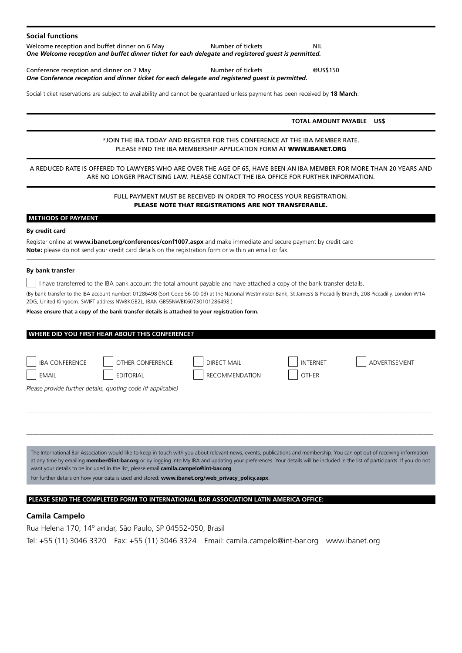| <b>Social functions</b>                                                                                                                                                                                                                                                                                                                                                             |  |
|-------------------------------------------------------------------------------------------------------------------------------------------------------------------------------------------------------------------------------------------------------------------------------------------------------------------------------------------------------------------------------------|--|
| Welcome reception and buffet dinner on 6 May<br>Number of tickets _____<br><b>NIL</b><br>One Welcome reception and buffet dinner ticket for each delegate and registered guest is permitted.                                                                                                                                                                                        |  |
| Conference reception and dinner on 7 May<br>Number of tickets _____<br>@US\$150<br>One Conference reception and dinner ticket for each delegate and registered guest is permitted.                                                                                                                                                                                                  |  |
| Social ticket reservations are subject to availability and cannot be guaranteed unless payment has been received by 18 March.                                                                                                                                                                                                                                                       |  |
| TOTAL AMOUNT PAYABLE US\$                                                                                                                                                                                                                                                                                                                                                           |  |
| *JOIN THE IBA TODAY AND REGISTER FOR THIS CONFERENCE AT THE IBA MEMBER RATE.<br>PLEASE FIND THE IBA MEMBERSHIP APPLICATION FORM AT WWW.IBANET.ORG                                                                                                                                                                                                                                   |  |
| A REDUCED RATE IS OFFERED TO LAWYERS WHO ARE OVER THE AGE OF 65, HAVE BEEN AN IBA MEMBER FOR MORE THAN 20 YEARS AND<br>ARE NO LONGER PRACTISING LAW. PLEASE CONTACT THE IBA OFFICE FOR FURTHER INFORMATION.                                                                                                                                                                         |  |
| FULL PAYMENT MUST BE RECEIVED IN ORDER TO PROCESS YOUR REGISTRATION.<br><b>PLEASE NOTE THAT REGISTRATIONS ARE NOT TRANSFERABLE.</b>                                                                                                                                                                                                                                                 |  |
| <b>METHODS OF PAYMENT</b>                                                                                                                                                                                                                                                                                                                                                           |  |
| By credit card<br>Register online at www.ibanet.org/conferences/conf1007.aspx and make immediate and secure payment by credit card<br>Note: please do not send your credit card details on the registration form or within an email or fax.                                                                                                                                         |  |
| By bank transfer                                                                                                                                                                                                                                                                                                                                                                    |  |
| I have transferred to the IBA bank account the total amount payable and have attached a copy of the bank transfer details.<br>(By bank transfer to the IBA account number: 01286498 (Sort Code 56-00-03) at the National Westminster Bank, St James's & Piccadilly Branch, 208 Piccadilly, London W1A<br>2DG, United Kingdom. SWIFT address NWBKGB2L, IBAN GB55NWBK60730101286498.) |  |
| Please ensure that a copy of the bank transfer details is attached to your registration form.                                                                                                                                                                                                                                                                                       |  |
| WHERE DID YOU FIRST HEAR ABOUT THIS CONFERENCE?                                                                                                                                                                                                                                                                                                                                     |  |
|                                                                                                                                                                                                                                                                                                                                                                                     |  |
| <b>IBA CONFERENCE</b><br><b>OTHER CONFERENCE</b><br><b>DIRECT MAIL</b><br><b>INTERNET</b><br>ADVERTISEMENT                                                                                                                                                                                                                                                                          |  |
| <b>EDITORIAL</b><br><b>EMAIL</b><br><b>RECOMMENDATION</b><br><b>OTHER</b>                                                                                                                                                                                                                                                                                                           |  |
| Please provide further details, quoting code (if applicable)                                                                                                                                                                                                                                                                                                                        |  |

The International Bar Association would like to keep in touch with you about relevant news, events, publications and membership. You can opt out of receiving information at any time by emailing **member@int-bar.org** or by logging into My IBA and updating your preferences. Your details will be included in the list of participants. If you do not want your details to be included in the list, please email **camila.campelo@int-bar.org**.

*\_\_\_\_\_\_\_\_\_\_\_\_\_\_\_\_\_\_\_\_\_\_\_\_\_\_\_\_\_\_\_\_\_\_\_\_\_\_\_\_\_\_\_\_\_\_\_\_\_\_\_\_\_\_\_\_\_\_\_\_\_\_\_\_\_\_\_\_\_\_\_\_\_\_\_\_\_\_\_\_\_\_\_\_\_\_\_\_\_\_\_\_\_\_\_\_\_\_\_\_\_\_\_\_\_\_\_\_\_\_\_\_\_\_\_\_\_\_\_\_\_\_\_\_\_\_\_\_\_\_\_*

*\_\_\_\_\_\_\_\_\_\_\_\_\_\_\_\_\_\_\_\_\_\_\_\_\_\_\_\_\_\_\_\_\_\_\_\_\_\_\_\_\_\_\_\_\_\_\_\_\_\_\_\_\_\_\_\_\_\_\_\_\_\_\_\_\_\_\_\_\_\_\_\_\_\_\_\_\_\_\_\_\_\_\_\_\_\_\_\_\_\_\_\_\_\_\_\_\_\_\_\_\_\_\_\_\_\_\_\_\_\_\_\_\_\_\_\_\_\_\_\_\_\_\_\_\_\_\_\_\_\_\_*

For further details on how your data is used and stored: **www.ibanet.org/web\_privacy\_policy.aspx**.

#### **PLEASE SEND THE COMPLETED FORM TO INTERNATIONAL BAR ASSOCIATION LATIN AMERICA OFFICE:**

#### **Camila Campelo**

Rua Helena 170, 14º andar, São Paulo, SP 04552-050, Brasil Tel: +55 (11) 3046 3320 Fax: +55 (11) 3046 3324 Email: camila.campelo@int-bar.org www.ibanet.org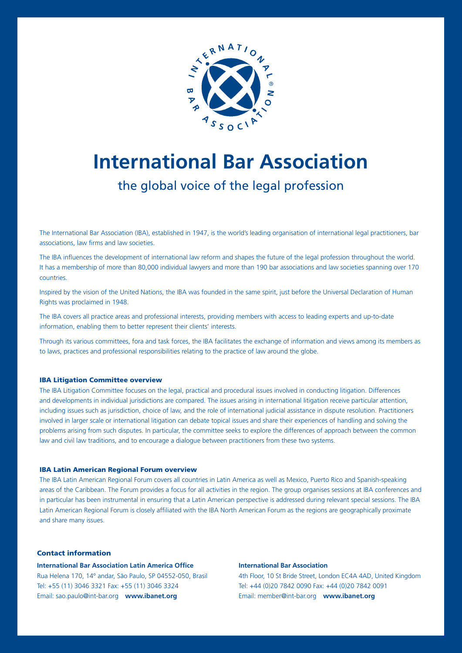

## **International Bar Association**

### the global voice of the legal profession

The International Bar Association (IBA), established in 1947, is the world's leading organisation of international legal practitioners, bar associations, law firms and law societies.

The IBA influences the development of international law reform and shapes the future of the legal profession throughout the world. It has a membership of more than 80,000 individual lawyers and more than 190 bar associations and law societies spanning over 170 countries.

Inspired by the vision of the United Nations, the IBA was founded in the same spirit, just before the Universal Declaration of Human Rights was proclaimed in 1948.

Information, enabling them to better represent their clients' interests. The IBA covers all practice areas and professional interests, providing members with access to leading experts and up-to-date

Through its various committees, fora and task forces, the IBA facilitates the exchange of information and views among its members as to laws, practices and professional responsibilities relating to the practice of law around the globe.

#### IBA Litigation Committee overview

The IBA Litigation Committee focuses on the legal, practical and procedural issues involved in conducting litigation. Differences and developments in individual jurisdictions are compared. The issues arising in international litigation receive particular attention, including issues such as jurisdiction, choice of law, and the role of international judicial assistance in dispute resolution. Practitioners involved in larger scale or international litigation can debate topical issues and share their experiences of handling and solving the problems arising from such disputes. In particular, the committee seeks to explore the differences of approach between the common law and civil law traditions, and to encourage a dialogue between practitioners from these two systems.

#### IBA Latin American Regional Forum overview

The IBA Latin American Regional Forum covers all countries in Latin America as well as Mexico, Puerto Rico and Spanish-speaking areas of the Caribbean. The Forum provides a focus for all activities in the region. The group organises sessions at IBA conferences and in particular has been instrumental in ensuring that a Latin American perspective is addressed during relevant special sessions. The IBA Latin American Regional Forum is closely affiliated with the IBA North American Forum as the regions are geographically proximate and share many issues.

#### Contact information

**International Bar Association Latin America Office** Rua Helena 170, 14º andar, São Paulo, SP 04552-050, Brasil Tel: +55 (11) 3046 3321 Fax: +55 (11) 3046 3324 Email: sao.paulo@int-bar.org **www.ibanet.org**

#### **International Bar Association**

4th Floor, 10 St Bride Street, London EC4A 4AD, United Kingdom Tel: +44 (0)20 7842 0090 Fax: +44 (0)20 7842 0091 Email: member@int-bar.org **www.ibanet.org**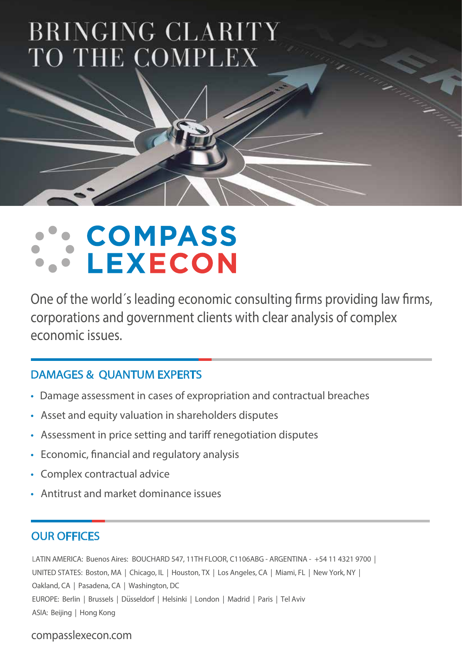## BRINGING CLARITY TO THE COMPLEX

## COMPASS **LEXECON**

One of the world's leading economic consulting firms providing law firms, corporations and government clients with clear analysis of complex economic issues.

## DAMAGES & QUANTUM EXPERTS

- Damage assessment in cases of expropriation and contractual breaches
- Asset and equity valuation in shareholders disputes
- Assessment in price setting and tariff renegotiation disputes
- Economic, financial and regulatory analysis
- Complex contractual advice
- Antitrust and market dominance issues

## OUR OFFICES

LATIN AMERICA: Buenos Aires: BOUCHARD 547, 11TH FLOOR, C1106ABG - ARGENTINA - +54 11 4321 9700 | UNITED STATES: Boston, MA | Chicago, IL | Houston, TX | Los Angeles, CA | Miami, FL | New York, NY | Oakland, CA | Pasadena, CA | Washington, DC EUROPE: Berlin | Brussels | Düsseldorf | Helsinki | London | Madrid | Paris | Tel Aviv ASIA: Beijing | Hong Kong

### compasslexecon.com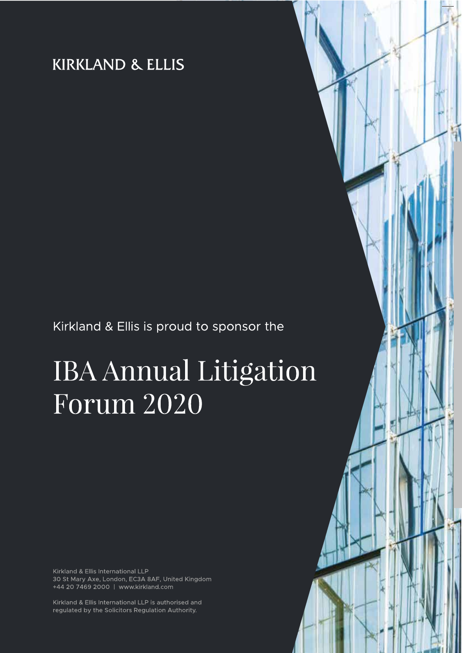## **KIRKLAND & ELLIS**

## Kirkland & Ellis is proud to sponsor the

# **IBA Annual Litigation Forum 2020**

Kirkland & Ellis International LLP 30 St Mary Axe, London, EC3A 8AF, United Kingdom +44 20 7469 2000 | www.kirkland.com

Kirkland & Ellis International LLP is authorised and regulated by the Solicitors Regulation Authority.